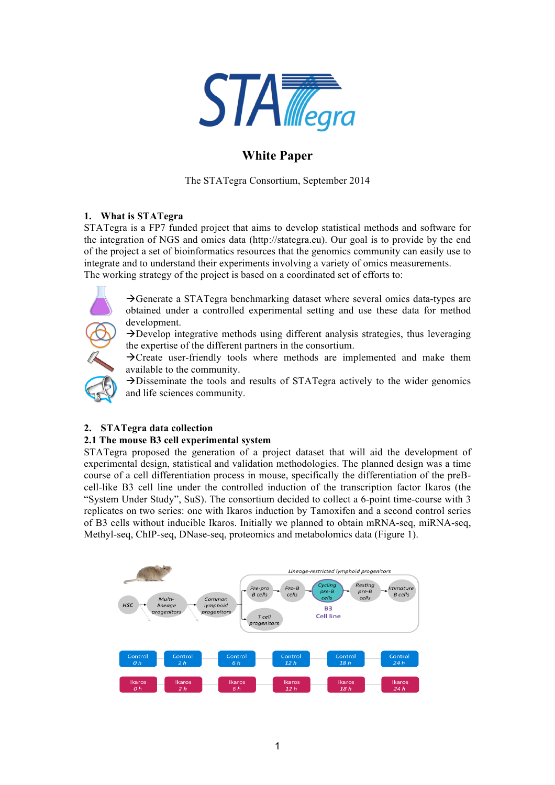

# **White Paper**

The STATegra Consortium, September 2014

## **1. What is STATegra**

STATegra is a FP7 funded project that aims to develop statistical methods and software for the integration of NGS and omics data (http://stategra.eu). Our goal is to provide by the end of the project a set of bioinformatics resources that the genomics community can easily use to integrate and to understand their experiments involving a variety of omics measurements. The working strategy of the project is based on a coordinated set of efforts to:



 $\rightarrow$ Generate a STATegra benchmarking dataset where several omics data-types are obtained under a controlled experimental setting and use these data for method development.

 $\rightarrow$ Develop integrative methods using different analysis strategies, thus leveraging the expertise of the different partners in the consortium.

 $\rightarrow$ Create user-friendly tools where methods are implemented and make them available to the community.

 $\rightarrow$ Disseminate the tools and results of STATegra actively to the wider genomics and life sciences community.

## **2. STATegra data collection**

## **2.1 The mouse B3 cell experimental system**

STATegra proposed the generation of a project dataset that will aid the development of experimental design, statistical and validation methodologies. The planned design was a time course of a cell differentiation process in mouse, specifically the differentiation of the preBcell-like B3 cell line under the controlled induction of the transcription factor Ikaros (the "System Under Study", SuS). The consortium decided to collect a 6-point time-course with 3 replicates on two series: one with Ikaros induction by Tamoxifen and a second control series of B3 cells without inducible Ikaros. Initially we planned to obtain mRNA-seq, miRNA-seq, Methyl-seq, ChIP-seq, DNase-seq, proteomics and metabolomics data (Figure 1).

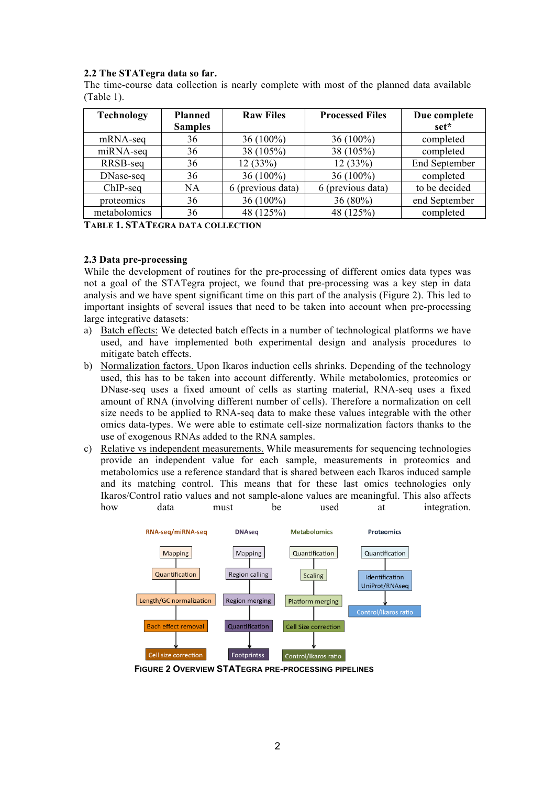## **2.2 The STATegra data so far.**

The time-course data collection is nearly complete with most of the planned data available (Table 1).

| <b>Technology</b> | <b>Planned</b><br><b>Samples</b> | <b>Raw Files</b>  | <b>Processed Files</b> | Due complete<br>set* |
|-------------------|----------------------------------|-------------------|------------------------|----------------------|
| mRNA-seq          | 36                               | $36(100\%)$       | $36(100\%)$            | completed            |
| miRNA-seq         | 36                               | 38 (105%)         | 38 (105%)              | completed            |
| RRSB-seq          | 36                               | 12(33%)           | 12(33%)                | <b>End September</b> |
| DNase-seq         | 36                               | $36(100\%)$       | $36(100\%)$            | completed            |
| ChIP-seq          | <b>NA</b>                        | 6 (previous data) | 6 (previous data)      | to be decided        |
| proteomics        | 36                               | $36(100\%)$       | 36 (80%)               | end September        |
| metabolomics      | 36                               | 48 (125%)         | 48 (125%)              | completed            |

**TABLE 1. STATEGRA DATA COLLECTION**

## **2.3 Data pre-processing**

While the development of routines for the pre-processing of different omics data types was not a goal of the STATegra project, we found that pre-processing was a key step in data analysis and we have spent significant time on this part of the analysis (Figure 2). This led to important insights of several issues that need to be taken into account when pre-processing large integrative datasets:

- a) Batch effects: We detected batch effects in a number of technological platforms we have used, and have implemented both experimental design and analysis procedures to mitigate batch effects.
- b) Normalization factors. Upon Ikaros induction cells shrinks. Depending of the technology used, this has to be taken into account differently. While metabolomics, proteomics or DNase-seq uses a fixed amount of cells as starting material, RNA-seq uses a fixed amount of RNA (involving different number of cells). Therefore a normalization on cell size needs to be applied to RNA-seq data to make these values integrable with the other omics data-types. We were able to estimate cell-size normalization factors thanks to the use of exogenous RNAs added to the RNA samples.
- c) Relative vs independent measurements. While measurements for sequencing technologies provide an independent value for each sample, measurements in proteomics and metabolomics use a reference standard that is shared between each Ikaros induced sample and its matching control. This means that for these last omics technologies only Ikaros/Control ratio values and not sample-alone values are meaningful. This also affects how data must be used at integration.



**FIGURE 2 OVERVIEW STATEGRA PRE-PROCESSING PIPELINES**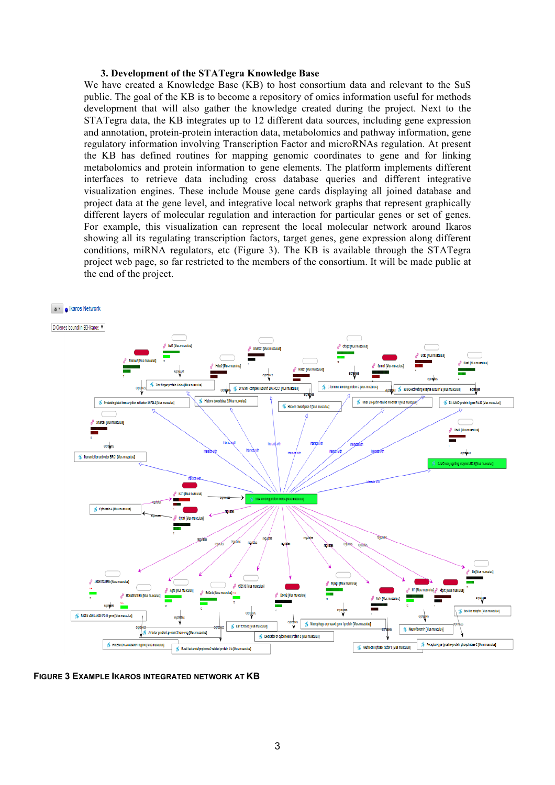#### **3. Development of the STATegra Knowledge Base**

We have created a Knowledge Base (KB) to host consortium data and relevant to the SuS public. The goal of the KB is to become a repository of omics information useful for methods development that will also gather the knowledge created during the project. Next to the STATegra data, the KB integrates up to 12 different data sources, including gene expression and annotation, protein-protein interaction data, metabolomics and pathway information, gene regulatory information involving Transcription Factor and microRNAs regulation. At present the KB has defined routines for mapping genomic coordinates to gene and for linking metabolomics and protein information to gene elements. The platform implements different interfaces to retrieve data including cross database queries and different integrative visualization engines. These include Mouse gene cards displaying all joined database and project data at the gene level, and integrative local network graphs that represent graphically different layers of molecular regulation and interaction for particular genes or set of genes. For example, this visualization can represent the local molecular network around Ikaros showing all its regulating transcription factors, target genes, gene expression along different conditions, miRNA regulators, etc (Figure 3). The KB is available through the STATegra project web page, so far restricted to the members of the consortium. It will be made public at the end of the project.



**FIGURE 3 EXAMPLE IKAROS INTEGRATED NETWORK AT KB**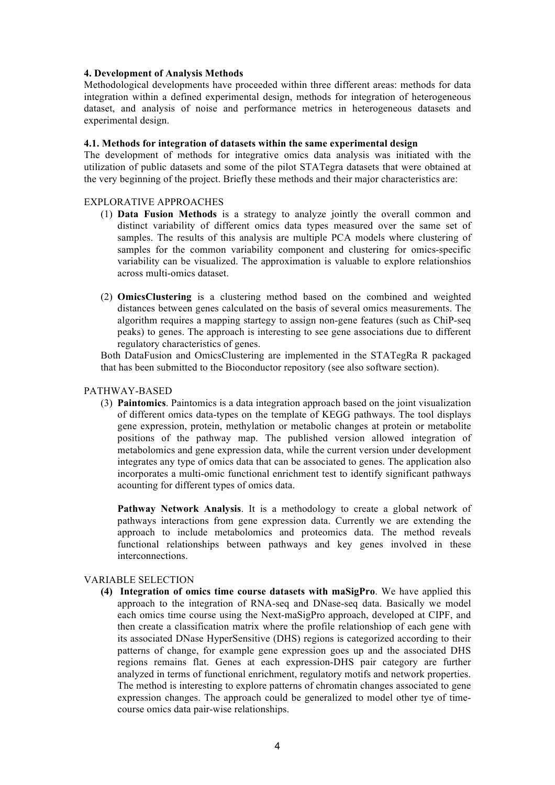### **4. Development of Analysis Methods**

Methodological developments have proceeded within three different areas: methods for data integration within a defined experimental design, methods for integration of heterogeneous dataset, and analysis of noise and performance metrics in heterogeneous datasets and experimental design.

#### **4.1. Methods for integration of datasets within the same experimental design**

The development of methods for integrative omics data analysis was initiated with the utilization of public datasets and some of the pilot STATegra datasets that were obtained at the very beginning of the project. Briefly these methods and their major characteristics are:

#### EXPLORATIVE APPROACHES

- (1) **Data Fusion Methods** is a strategy to analyze jointly the overall common and distinct variability of different omics data types measured over the same set of samples. The results of this analysis are multiple PCA models where clustering of samples for the common variability component and clustering for omics-specific variability can be visualized. The approximation is valuable to explore relationshios across multi-omics dataset.
- (2) **OmicsClustering** is a clustering method based on the combined and weighted distances between genes calculated on the basis of several omics measurements. The algorithm requires a mapping startegy to assign non-gene features (such as ChiP-seq peaks) to genes. The approach is interesting to see gene associations due to different regulatory characteristics of genes.

Both DataFusion and OmicsClustering are implemented in the STATegRa R packaged that has been submitted to the Bioconductor repository (see also software section).

#### PATHWAY-BASED

(3) **Paintomics**. Paintomics is a data integration approach based on the joint visualization of different omics data-types on the template of KEGG pathways. The tool displays gene expression, protein, methylation or metabolic changes at protein or metabolite positions of the pathway map. The published version allowed integration of metabolomics and gene expression data, while the current version under development integrates any type of omics data that can be associated to genes. The application also incorporates a multi-omic functional enrichment test to identify significant pathways acounting for different types of omics data.

**Pathway Network Analysis**. It is a methodology to create a global network of pathways interactions from gene expression data. Currently we are extending the approach to include metabolomics and proteomics data. The method reveals functional relationships between pathways and key genes involved in these interconnections.

#### VARIABLE SELECTION

**(4) Integration of omics time course datasets with maSigPro**. We have applied this approach to the integration of RNA-seq and DNase-seq data. Basically we model each omics time course using the Next-maSigPro approach, developed at CIPF, and then create a classification matrix where the profile relationshiop of each gene with its associated DNase HyperSensitive (DHS) regions is categorized according to their patterns of change, for example gene expression goes up and the associated DHS regions remains flat. Genes at each expression-DHS pair category are further analyzed in terms of functional enrichment, regulatory motifs and network properties. The method is interesting to explore patterns of chromatin changes associated to gene expression changes. The approach could be generalized to model other tye of timecourse omics data pair-wise relationships.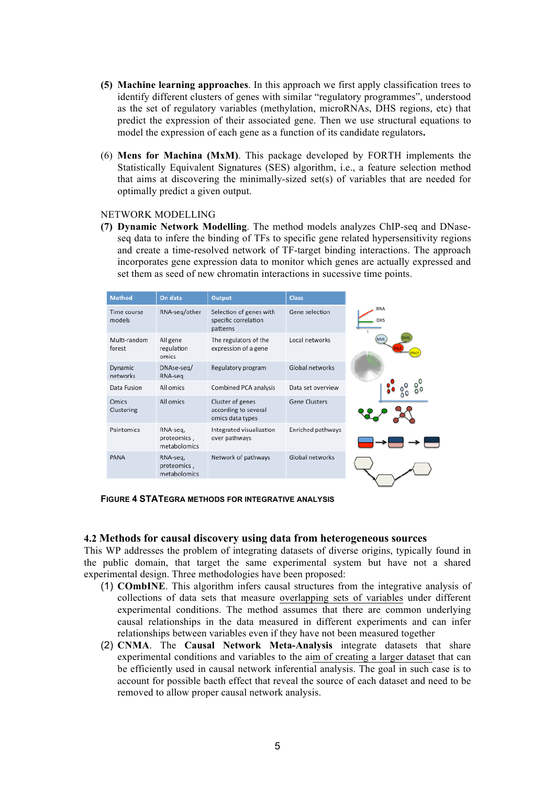- **(5) Machine learning approaches**. In this approach we first apply classification trees to identify different clusters of genes with similar "regulatory programmes", understood as the set of regulatory variables (methylation, microRNAs, DHS regions, etc) that predict the expression of their associated gene. Then we use structural equations to model the expression of each gene as a function of its candidate regulators**.**
- (6) **Mens for Machina (MxM)**. This package developed by FORTH implements the Statistically Equivalent Signatures (SES) algorithm, i.e., a feature selection method that aims at discovering the minimally-sized set(s) of variables that are needed for optimally predict a given output.

#### NETWORK MODELLING

**(7) Dynamic Network Modelling**. The method models analyzes ChIP-seq and DNaseseq data to infere the binding of TFs to specific gene related hypersensitivity regions and create a time-resolved network of TF-target binding interactions. The approach incorporates gene expression data to monitor which genes are actually expressed and set them as seed of new chromatin interactions in sucessive time points.

| <b>Method</b>          | On data                                 | <b>Output</b>                                                | <b>Class</b>      |
|------------------------|-----------------------------------------|--------------------------------------------------------------|-------------------|
| Time course<br>models  | RNA-seg/other                           | Selection of genes with<br>specific correlation<br>patterns  | Gene selection    |
| Multi-random<br>forest | All gene<br>regulation<br>omics         | The regulators of the<br>expression of a gene                | Local networks    |
| Dynamic<br>networks    | DNAse-seq/<br>RNA-seq                   | Regulatory program                                           | Global networks   |
| Data Fusion            | All omics                               | Combined PCA analysis                                        | Data set overview |
| Omics<br>Clustering    | All omics                               | Cluster of genes<br>according to several<br>omics data types | Gene Clusters     |
| Paintomics             | RNA-seg,<br>proteomics,<br>metabolomics | Integrated visualization<br>over pathways                    | Enriched pathways |
| PANA                   | RNA-seq,<br>proteomics,<br>metabolomics | Network of pathways                                          | Global networks   |

**FIGURE 4 STATEGRA METHODS FOR INTEGRATIVE ANALYSIS**

#### **4.2 Methods for causal discovery using data from heterogeneous sources**

This WP addresses the problem of integrating datasets of diverse origins, typically found in the public domain, that target the same experimental system but have not a shared experimental design. Three methodologies have been proposed:

- (1) **COmbINE**. This algorithm infers causal structures from the integrative analysis of collections of data sets that measure overlapping sets of variables under different experimental conditions. The method assumes that there are common underlying causal relationships in the data measured in different experiments and can infer relationships between variables even if they have not been measured together
- (2) **CNMA**. The **Causal Network Meta-Analysis** integrate datasets that share experimental conditions and variables to the aim of creating a larger dataset that can be efficiently used in causal network inferential analysis. The goal in such case is to account for possible bacth effect that reveal the source of each dataset and need to be removed to allow proper causal network analysis.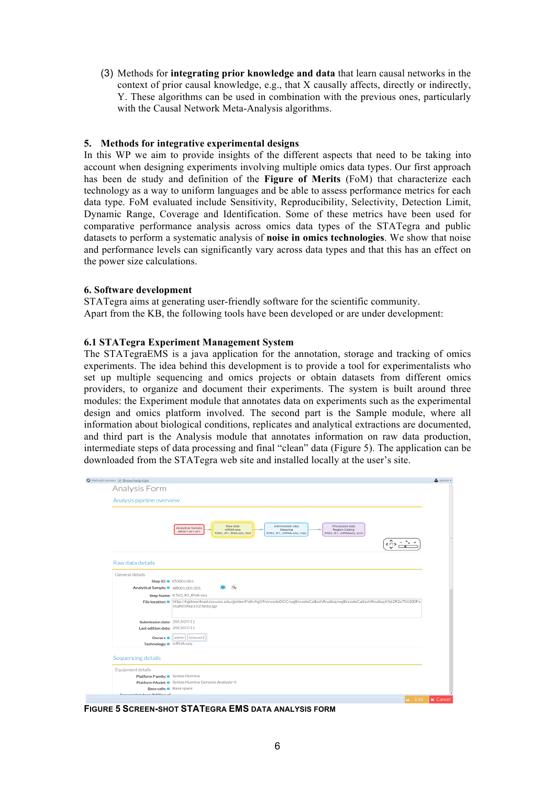(3) Methods for **integrating prior knowledge and data** that learn causal networks in the context of prior causal knowledge, e.g., that X causally affects, directly or indirectly, Y. These algorithms can be used in combination with the previous ones, particularly with the Causal Network Meta-Analysis algorithms.

### **5. Methods for integrative experimental designs**

In this WP we aim to provide insights of the different aspects that need to be taking into account when designing experiments involving multiple omics data types. Our first approach has been de study and definition of the **Figure of Merits** (FoM) that characterize each technology as a way to uniform languages and be able to assess performance metrics for each data type. FoM evaluated include Sensitivity, Reproducibility, Selectivity, Detection Limit, Dynamic Range, Coverage and Identification. Some of these metrics have been used for comparative performance analysis across omics data types of the STATegra and public datasets to perform a systematic analysis of **noise in omics technologies**. We show that noise and performance levels can significantly vary across data types and that this has an effect on the power size calculations.

#### **6. Software development**

STATegra aims at generating user-friendly software for the scientific community. Apart from the KB, the following tools have been developed or are under development:

#### **6.1 STATegra Experiment Management System**

The STATegraEMS is a java application for the annotation, storage and tracking of omics experiments. The idea behind this development is to provide a tool for experimentalists who set up multiple sequencing and omics projects or obtain datasets from different omics providers, to organize and document their experiments. The system is built around three modules: the Experiment module that annotates data on experiments such as the experimental design and omics platform involved. The second part is the Sample module, where all information about biological conditions, replicates and analytical extractions are documented, and third part is the Analysis module that annotates information on raw data production, intermediate steps of data processing and final "clean" data (Figure 5). The application can be downloaded from the STATegra web site and installed locally at the user's site.

| O Refresh screen [7] Show help tips           |                                                                                                                                                                                                        | $\triangle$ admin $\sim$ |  |  |  |
|-----------------------------------------------|--------------------------------------------------------------------------------------------------------------------------------------------------------------------------------------------------------|--------------------------|--|--|--|
| Analysis Form                                 |                                                                                                                                                                                                        |                          |  |  |  |
| Analysis pipeline overview                    |                                                                                                                                                                                                        |                          |  |  |  |
|                                               |                                                                                                                                                                                                        |                          |  |  |  |
|                                               | Raw data<br>Intermediate step<br>Processed data<br>Analytical Sample<br>mRNA-seg<br>Region Calling<br>Mapping<br>AR001.001.001<br>K562_R1_RNA-seq_fast<br>K562_R1_mRNA-seq_map<br>K562_R1_mRNAseq_junc |                          |  |  |  |
| Raw data details                              |                                                                                                                                                                                                        |                          |  |  |  |
| General details                               |                                                                                                                                                                                                        |                          |  |  |  |
|                                               | Step ID: 0 ST0001.001                                                                                                                                                                                  |                          |  |  |  |
| Analytical Sample: @ AR001.001.001            | $\alpha$                                                                                                                                                                                               |                          |  |  |  |
|                                               | Step Name: K562_R1_RNA-seq                                                                                                                                                                             |                          |  |  |  |
|                                               | File location: @ http://hgdownload.cse.ucsc.edu/goldenPath/hg19/encodeDCC/wgEncodeCaltechRnaSeq/wgEncodeCaltechRnaSeqK562R2x75II200Fa<br>stqRd1Rep1V2.fastq.tgz                                        |                          |  |  |  |
| Submission date: 2013/07/11                   |                                                                                                                                                                                                        |                          |  |  |  |
| Last edition date: 2013/07/11                 |                                                                                                                                                                                                        |                          |  |  |  |
|                                               | Owners: 0   admin   testuser2                                                                                                                                                                          |                          |  |  |  |
| Technology: o mRNA-seq                        |                                                                                                                                                                                                        |                          |  |  |  |
| Sequencing details                            |                                                                                                                                                                                                        |                          |  |  |  |
| Equipment details                             |                                                                                                                                                                                                        |                          |  |  |  |
| Platform Family: <sup>O</sup> Solexa Illumina |                                                                                                                                                                                                        |                          |  |  |  |
|                                               | Platform Model: O Solexa Illumina Genome Analyzer II                                                                                                                                                   |                          |  |  |  |
| Base calls: <sup>@</sup> Base space           |                                                                                                                                                                                                        |                          |  |  |  |
| Concension does (Millian of                   | <b>The Community</b>                                                                                                                                                                                   |                          |  |  |  |

**FIGURE 5 SCREEN-SHOT STATEGRA EMS DATA ANALYSIS FORM**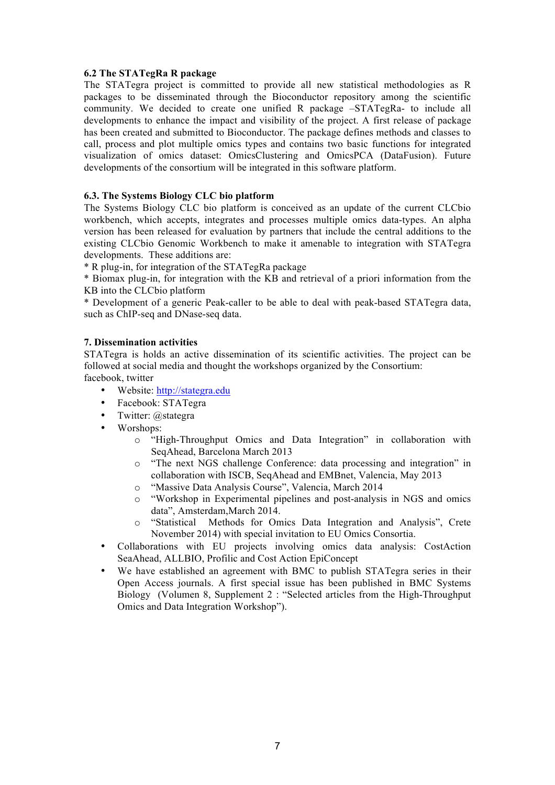## **6.2 The STATegRa R package**

The STATegra project is committed to provide all new statistical methodologies as R packages to be disseminated through the Bioconductor repository among the scientific community. We decided to create one unified R package –STATegRa- to include all developments to enhance the impact and visibility of the project. A first release of package has been created and submitted to Bioconductor. The package defines methods and classes to call, process and plot multiple omics types and contains two basic functions for integrated visualization of omics dataset: OmicsClustering and OmicsPCA (DataFusion). Future developments of the consortium will be integrated in this software platform.

## **6.3. The Systems Biology CLC bio platform**

The Systems Biology CLC bio platform is conceived as an update of the current CLCbio workbench, which accepts, integrates and processes multiple omics data-types. An alpha version has been released for evaluation by partners that include the central additions to the existing CLCbio Genomic Workbench to make it amenable to integration with STATegra developments. These additions are:

\* R plug-in, for integration of the STATegRa package

\* Biomax plug-in, for integration with the KB and retrieval of a priori information from the KB into the CLCbio platform

\* Development of a generic Peak-caller to be able to deal with peak-based STATegra data, such as ChIP-seq and DNase-seq data.

## **7. Dissemination activities**

STATegra is holds an active dissemination of its scientific activities. The project can be followed at social media and thought the workshops organized by the Consortium: facebook, twitter

- Website: http://stategra.edu
- Facebook: STATegra<br>• Twitter: @stategra
- Twitter: @stategra
- Worshops:
	- o "High-Throughput Omics and Data Integration" in collaboration with SeqAhead, Barcelona March 2013
	- o "The next NGS challenge Conference: data processing and integration" in collaboration with ISCB, SeqAhead and EMBnet, Valencia, May 2013
	- o "Massive Data Analysis Course", Valencia, March 2014
	- o "Workshop in Experimental pipelines and post-analysis in NGS and omics data", Amsterdam,March 2014.
	- o "Statistical Methods for Omics Data Integration and Analysis", Crete November 2014) with special invitation to EU Omics Consortia.
- Collaborations with EU projects involving omics data analysis: CostAction SeaAhead, ALLBIO, Profilic and Cost Action EpiConcept
- We have established an agreement with BMC to publish STATegra series in their Open Access journals. A first special issue has been published in BMC Systems Biology (Volumen 8, Supplement 2 : "Selected articles from the High-Throughput Omics and Data Integration Workshop").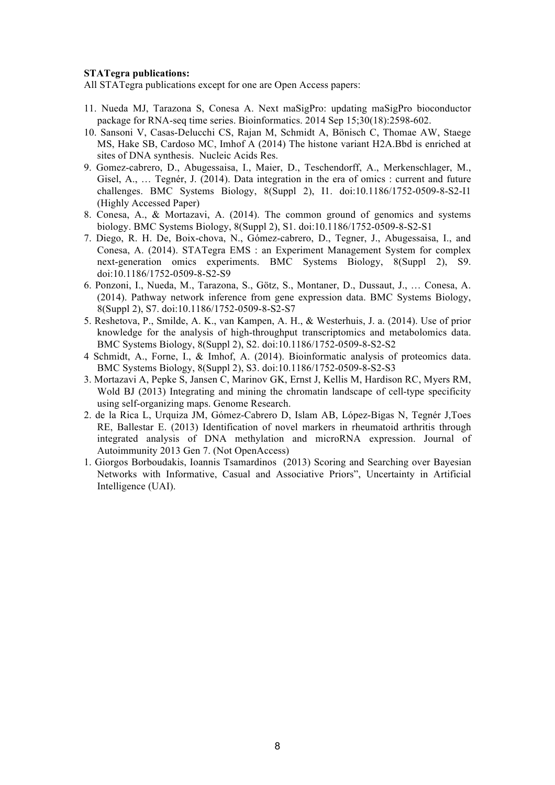### **STATegra publications:**

All STATegra publications except for one are Open Access papers:

- 11. Nueda MJ, Tarazona S, Conesa A. Next maSigPro: updating maSigPro bioconductor package for RNA-seq time series. Bioinformatics. 2014 Sep 15;30(18):2598-602.
- 10. Sansoni V, Casas-Delucchi CS, Rajan M, Schmidt A, Bönisch C, Thomae AW, Staege MS, Hake SB, Cardoso MC, Imhof A (2014) The histone variant H2A.Bbd is enriched at sites of DNA synthesis. Nucleic Acids Res.
- 9. Gomez-cabrero, D., Abugessaisa, I., Maier, D., Teschendorff, A., Merkenschlager, M., Gisel, A., … Tegnér, J. (2014). Data integration in the era of omics : current and future challenges. BMC Systems Biology, 8(Suppl 2), I1. doi:10.1186/1752-0509-8-S2-I1 (Highly Accessed Paper)
- 8. Conesa, A., & Mortazavi, A. (2014). The common ground of genomics and systems biology. BMC Systems Biology, 8(Suppl 2), S1. doi:10.1186/1752-0509-8-S2-S1
- 7. Diego, R. H. De, Boix-chova, N., Gómez-cabrero, D., Tegner, J., Abugessaisa, I., and Conesa, A. (2014). STATegra EMS : an Experiment Management System for complex next-generation omics experiments. BMC Systems Biology, 8(Suppl 2), S9. doi:10.1186/1752-0509-8-S2-S9
- 6. Ponzoni, I., Nueda, M., Tarazona, S., Götz, S., Montaner, D., Dussaut, J., … Conesa, A. (2014). Pathway network inference from gene expression data. BMC Systems Biology, 8(Suppl 2), S7. doi:10.1186/1752-0509-8-S2-S7
- 5. Reshetova, P., Smilde, A. K., van Kampen, A. H., & Westerhuis, J. a. (2014). Use of prior knowledge for the analysis of high-throughput transcriptomics and metabolomics data. BMC Systems Biology, 8(Suppl 2), S2. doi:10.1186/1752-0509-8-S2-S2
- 4 Schmidt, A., Forne, I., & Imhof, A. (2014). Bioinformatic analysis of proteomics data. BMC Systems Biology, 8(Suppl 2), S3. doi:10.1186/1752-0509-8-S2-S3
- 3. Mortazavi A, Pepke S, Jansen C, Marinov GK, Ernst J, Kellis M, Hardison RC, Myers RM, Wold BJ (2013) Integrating and mining the chromatin landscape of cell-type specificity using self-organizing maps. Genome Research.
- 2. de la Rica L, Urquiza JM, Gómez-Cabrero D, Islam AB, López-Bigas N, Tegnér J,Toes RE, Ballestar E. (2013) Identification of novel markers in rheumatoid arthritis through integrated analysis of DNA methylation and microRNA expression. Journal of Autoimmunity 2013 Gen 7. (Not OpenAccess)
- 1. Giorgos Borboudakis, Ioannis Tsamardinos (2013) Scoring and Searching over Bayesian Networks with Informative, Casual and Associative Priors", Uncertainty in Artificial Intelligence (UAI).